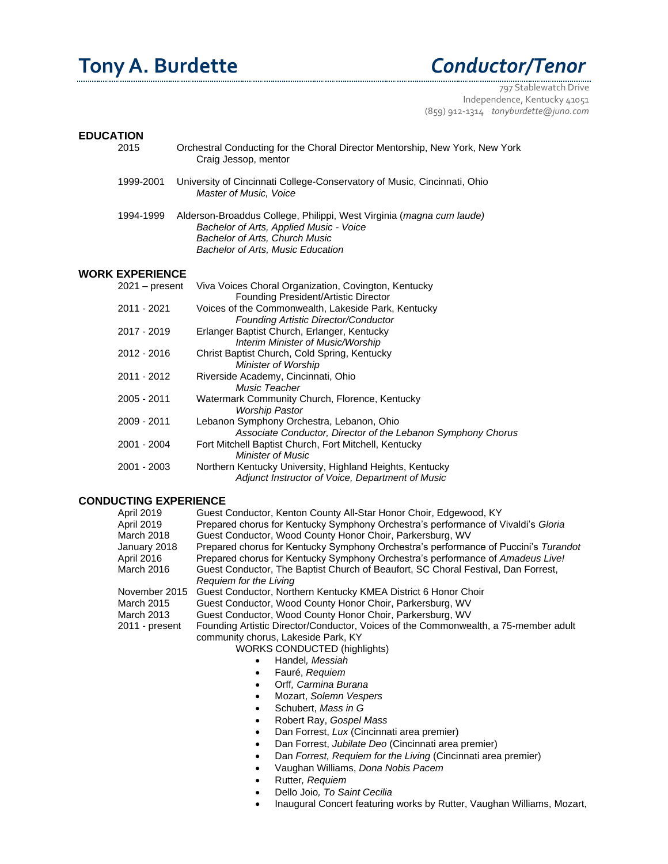# **Tony A. Burdette** *Conductor/Tenor*

797 Stablewatch Drive Independence, Kentucky 41051 (859) 912-1314 *tonyburdette@juno.com*

#### **EDUCATION**

| 2015       | Orchestral Conducting for the Choral Director Mentorship, New York, New York<br>Craig Jessop, mentor                                                                                                          |
|------------|---------------------------------------------------------------------------------------------------------------------------------------------------------------------------------------------------------------|
| 1999-2001  | University of Cincinnati College-Conservatory of Music, Cincinnati, Ohio<br>Master of Music. Voice                                                                                                            |
| 1994-1999  | Alderson-Broaddus College, Philippi, West Virginia ( <i>magna cum laude</i> )<br>Bachelor of Arts, Applied Music - Voice<br><b>Bachelor of Arts, Church Music</b><br><b>Bachelor of Arts, Music Education</b> |
| EVDEDIENCE |                                                                                                                                                                                                               |

### **WORK EXPERIENCE**

| $2021 - present$ | Viva Voices Choral Organization, Covington, Kentucky         |
|------------------|--------------------------------------------------------------|
|                  | Founding President/Artistic Director                         |
| 2011 - 2021      | Voices of the Commonwealth, Lakeside Park, Kentucky          |
|                  | Founding Artistic Director/Conductor                         |
| 2017 - 2019      | Erlanger Baptist Church, Erlanger, Kentucky                  |
|                  | Interim Minister of Music/Worship                            |
| 2012 - 2016      | Christ Baptist Church, Cold Spring, Kentucky                 |
|                  | Minister of Worship                                          |
| 2011 - 2012      | Riverside Academy, Cincinnati, Ohio                          |
|                  | Music Teacher                                                |
| 2005 - 2011      | Watermark Community Church, Florence, Kentucky               |
|                  | <b>Worship Pastor</b>                                        |
| 2009 - 2011      | Lebanon Symphony Orchestra, Lebanon, Ohio                    |
|                  | Associate Conductor, Director of the Lebanon Symphony Chorus |
| 2001 - 2004      | Fort Mitchell Baptist Church, Fort Mitchell, Kentucky        |
|                  | Minister of Music                                            |
| 2001 - 2003      | Northern Kentucky University, Highland Heights, Kentucky     |
|                  | Adjunct Instructor of Voice, Department of Music             |

# **CONDUCTING EXPERIENCE**

| Guest Conductor, Kenton County All-Star Honor Choir, Edgewood, KY                   |  |  |  |
|-------------------------------------------------------------------------------------|--|--|--|
| Prepared chorus for Kentucky Symphony Orchestra's performance of Vivaldi's Gloria   |  |  |  |
| Guest Conductor, Wood County Honor Choir, Parkersburg, WV                           |  |  |  |
| Prepared chorus for Kentucky Symphony Orchestra's performance of Puccini's Turandot |  |  |  |
| Prepared chorus for Kentucky Symphony Orchestra's performance of Amadeus Live!      |  |  |  |
| Guest Conductor, The Baptist Church of Beaufort, SC Choral Festival, Dan Forrest,   |  |  |  |
| Requiem for the Living                                                              |  |  |  |
| Guest Conductor, Northern Kentucky KMEA District 6 Honor Choir<br>November 2015     |  |  |  |
| Guest Conductor, Wood County Honor Choir, Parkersburg, WV                           |  |  |  |
| Guest Conductor, Wood County Honor Choir, Parkersburg, WV                           |  |  |  |
| Founding Artistic Director/Conductor, Voices of the Commonwealth, a 75-member adult |  |  |  |
| community chorus, Lakeside Park, KY                                                 |  |  |  |
| <b>WORKS CONDUCTED (highlights)</b>                                                 |  |  |  |
| Handel, Messiah                                                                     |  |  |  |
| Fauré, Reguiem<br>٠                                                                 |  |  |  |
| Orff, Carmina Burana<br>$\bullet$                                                   |  |  |  |
| Mozart, Solemn Vespers<br>٠                                                         |  |  |  |
| Schubert, Mass in G<br>$\bullet$                                                    |  |  |  |
| Robert Ray, Gospel Mass<br>$\bullet$                                                |  |  |  |
| Dan Forrest, Lux (Cincinnati area premier)<br>$\bullet$                             |  |  |  |
| Dan Forrest, <i>Jubilate Deo</i> (Cincinnati area premier)<br>$\bullet$             |  |  |  |
| Dan Forrest, Requiem for the Living (Cincinnati area premier)<br>$\bullet$          |  |  |  |
| Vaughan Williams, Dona Nobis Pacem                                                  |  |  |  |
|                                                                                     |  |  |  |

- Rutter*, Requiem*
- Dello Joio*, To Saint Cecilia*
- Inaugural Concert featuring works by Rutter, Vaughan Williams, Mozart,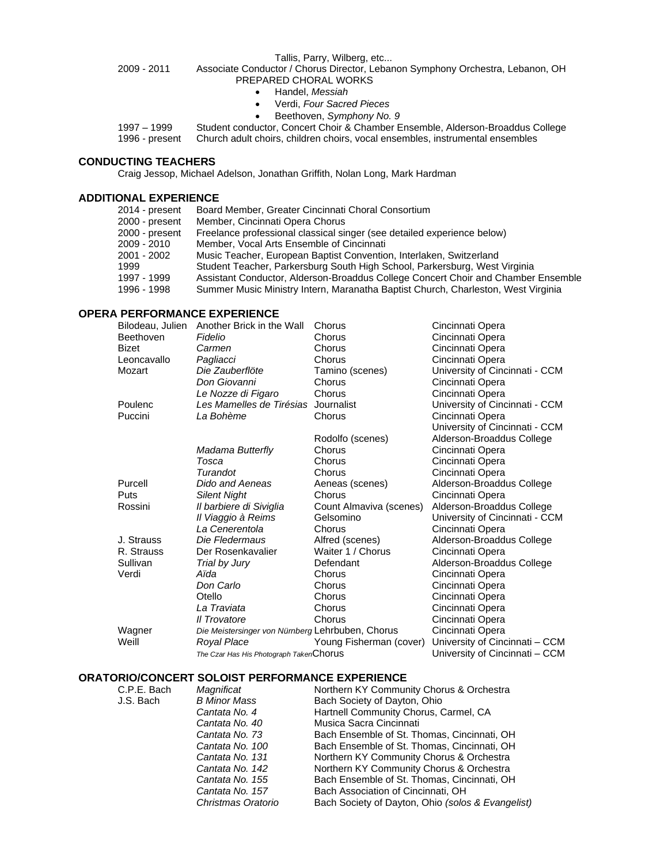#### Tallis, Parry, Wilberg, etc...

2009 - 2011 Associate Conductor / Chorus Director, Lebanon Symphony Orchestra, Lebanon, OH PREPARED CHORAL WORKS

- Handel, *Messiah*
- Verdi, *Four Sacred Pieces*
- Beethoven, *Symphony No. 9*

1997 – 1999 Student conductor, Concert Choir & Chamber Ensemble, Alderson-Broaddus College<br>1996 - present Church adult choirs, children choirs, vocal ensembles, instrumental ensembles Church adult choirs, children choirs, vocal ensembles, instrumental ensembles

#### **CONDUCTING TEACHERS**

Craig Jessop, Michael Adelson, Jonathan Griffith, Nolan Long, Mark Hardman

# **ADDITIONAL EXPERIENCE**

| Assistant Conductor, Alderson-Broaddus College Concert Choir and Chamber Ensemble |
|-----------------------------------------------------------------------------------|
|                                                                                   |
|                                                                                   |

# **OPERA PERFORMANCE EXPERIENCE**

| Bilodeau, Julien | Another Brick in the Wall                        | Chorus                  | Cincinnati Opera               |
|------------------|--------------------------------------------------|-------------------------|--------------------------------|
| <b>Beethoven</b> | Fidelio                                          | Chorus                  | Cincinnati Opera               |
| <b>Bizet</b>     | Carmen                                           | Chorus                  | Cincinnati Opera               |
| Leoncavallo      | Pagliacci                                        | Chorus                  | Cincinnati Opera               |
| Mozart           | Die Zauberflöte                                  | Tamino (scenes)         | University of Cincinnati - CCM |
|                  | Don Giovanni                                     | Chorus                  | Cincinnati Opera               |
|                  | Le Nozze di Figaro                               | Chorus                  | Cincinnati Opera               |
| Poulenc          | Les Mamelles de Tirésias                         | Journalist              | University of Cincinnati - CCM |
| Puccini          | La Bohème                                        | Chorus                  | Cincinnati Opera               |
|                  |                                                  |                         | University of Cincinnati - CCM |
|                  |                                                  | Rodolfo (scenes)        | Alderson-Broaddus College      |
|                  | Madama Butterfly                                 | Chorus                  | Cincinnati Opera               |
|                  | Tosca                                            | Chorus                  | Cincinnati Opera               |
|                  | Turandot                                         | Chorus                  | Cincinnati Opera               |
| Purcell          | Dido and Aeneas                                  | Aeneas (scenes)         | Alderson-Broaddus College      |
| Puts             | <b>Silent Night</b>                              | Chorus                  | Cincinnati Opera               |
| Rossini          | Il barbiere di Siviglia                          | Count Almaviva (scenes) | Alderson-Broaddus College      |
|                  | Il Viaggio à Reims                               | Gelsomino               | University of Cincinnati - CCM |
|                  | La Cenerentola                                   | Chorus                  | Cincinnati Opera               |
| J. Strauss       | Die Fledermaus                                   | Alfred (scenes)         | Alderson-Broaddus College      |
| R. Strauss       | Der Rosenkavalier                                | Waiter 1 / Chorus       | Cincinnati Opera               |
| Sullivan         | Trial by Jury                                    | Defendant               | Alderson-Broaddus College      |
| Verdi            | Aïda                                             | Chorus                  | Cincinnati Opera               |
|                  | Don Carlo                                        | Chorus                  | Cincinnati Opera               |
|                  | Otello                                           | Chorus                  | Cincinnati Opera               |
|                  | La Traviata                                      | Chorus                  | Cincinnati Opera               |
|                  | <b>Il Trovatore</b>                              | Chorus                  | Cincinnati Opera               |
| Wagner           | Die Meistersinger von Nürnberg Lehrbuben, Chorus |                         | Cincinnati Opera               |
| Weill            | Royal Place                                      | Young Fisherman (cover) | University of Cincinnati - CCM |
|                  | The Czar Has His Photograph TakenChorus          |                         | University of Cincinnati - CCM |

#### **ORATORIO/CONCERT SOLOIST PERFORMANCE EXPERIENCE**

| C.P.E. Bach | Magnificat          | Northern KY Community Chorus & Orchestra          |
|-------------|---------------------|---------------------------------------------------|
| J.S. Bach   | <b>B Minor Mass</b> | Bach Society of Dayton, Ohio                      |
|             | Cantata No. 4       | Hartnell Community Chorus, Carmel, CA             |
|             | Cantata No. 40      | Musica Sacra Cincinnati                           |
|             | Cantata No. 73      | Bach Ensemble of St. Thomas, Cincinnati, OH       |
|             | Cantata No. 100     | Bach Ensemble of St. Thomas, Cincinnati, OH       |
|             | Cantata No. 131     | Northern KY Community Chorus & Orchestra          |
|             | Cantata No. 142     | Northern KY Community Chorus & Orchestra          |
|             | Cantata No. 155     | Bach Ensemble of St. Thomas, Cincinnati, OH       |
|             | Cantata No. 157     | Bach Association of Cincinnati, OH                |
|             | Christmas Oratorio  | Bach Society of Dayton, Ohio (solos & Evangelist) |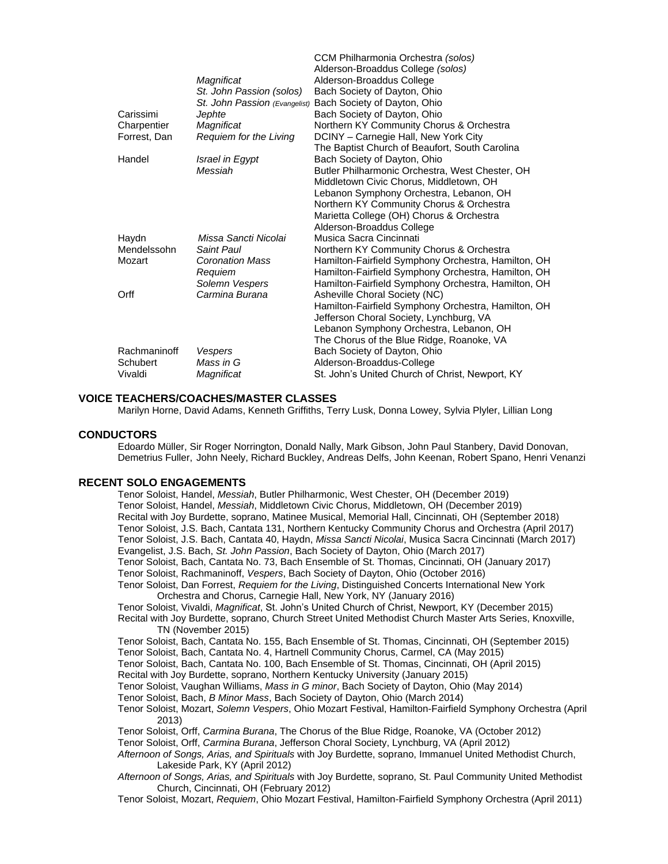|              |                               | CCM Philharmonia Orchestra (solos)                  |
|--------------|-------------------------------|-----------------------------------------------------|
|              |                               | Alderson-Broaddus College (solos)                   |
|              | Magnificat                    | Alderson-Broaddus College                           |
|              | St. John Passion (solos)      | Bach Society of Dayton, Ohio                        |
|              | St. John Passion (Evangelist) | Bach Society of Dayton, Ohio                        |
| Carissimi    | Jephte                        | Bach Society of Dayton, Ohio                        |
| Charpentier  | Magnificat                    | Northern KY Community Chorus & Orchestra            |
| Forrest, Dan | Requiem for the Living        | DCINY - Carnegie Hall, New York City                |
|              |                               | The Baptist Church of Beaufort, South Carolina      |
| Handel       | Israel in Egypt               | Bach Society of Dayton, Ohio                        |
|              | Messiah                       | Butler Philharmonic Orchestra, West Chester, OH     |
|              |                               | Middletown Civic Chorus, Middletown, OH             |
|              |                               | Lebanon Symphony Orchestra, Lebanon, OH             |
|              |                               | Northern KY Community Chorus & Orchestra            |
|              |                               | Marietta College (OH) Chorus & Orchestra            |
|              |                               | Alderson-Broaddus College                           |
| Haydn        | Missa Sancti Nicolai          | Musica Sacra Cincinnati                             |
| Mendelssohn  | Saint Paul                    | Northern KY Community Chorus & Orchestra            |
| Mozart       | <b>Coronation Mass</b>        | Hamilton-Fairfield Symphony Orchestra, Hamilton, OH |
|              | Requiem                       | Hamilton-Fairfield Symphony Orchestra, Hamilton, OH |
|              | Solemn Vespers                | Hamilton-Fairfield Symphony Orchestra, Hamilton, OH |
| Orff         | Carmina Burana                | Asheville Choral Society (NC)                       |
|              |                               | Hamilton-Fairfield Symphony Orchestra, Hamilton, OH |
|              |                               | Jefferson Choral Society, Lynchburg, VA             |
|              |                               | Lebanon Symphony Orchestra, Lebanon, OH             |
|              |                               | The Chorus of the Blue Ridge, Roanoke, VA           |
| Rachmaninoff | Vespers                       | Bach Society of Dayton, Ohio                        |
| Schubert     | Mass in G                     | Alderson-Broaddus-College                           |
| Vivaldi      | Magnificat                    | St. John's United Church of Christ, Newport, KY     |

#### **VOICE TEACHERS/COACHES/MASTER CLASSES**

Marilyn Horne, David Adams, Kenneth Griffiths, Terry Lusk, Donna Lowey, Sylvia Plyler, Lillian Long

#### **CONDUCTORS**

Edoardo Müller, Sir Roger Norrington, Donald Nally, Mark Gibson, John Paul Stanbery, David Donovan, Demetrius Fuller, John Neely, Richard Buckley, Andreas Delfs, John Keenan, Robert Spano, Henri Venanzi

#### **RECENT SOLO ENGAGEMENTS**

Tenor Soloist, Handel, *Messiah*, Butler Philharmonic, West Chester, OH (December 2019) Tenor Soloist, Handel, *Messiah*, Middletown Civic Chorus, Middletown, OH (December 2019) Recital with Joy Burdette, soprano, Matinee Musical, Memorial Hall, Cincinnati, OH (September 2018) Tenor Soloist, J.S. Bach, Cantata 131, Northern Kentucky Community Chorus and Orchestra (April 2017) Tenor Soloist, J.S. Bach, Cantata 40, Haydn, *Missa Sancti Nicolai*, Musica Sacra Cincinnati (March 2017) Evangelist, J.S. Bach, *St. John Passion*, Bach Society of Dayton, Ohio (March 2017) Tenor Soloist, Bach, Cantata No. 73, Bach Ensemble of St. Thomas, Cincinnati, OH (January 2017) Tenor Soloist, Rachmaninoff, *Vespers*, Bach Society of Dayton, Ohio (October 2016) Tenor Soloist, Dan Forrest, *Requiem for the Living*, Distinguished Concerts International New York Orchestra and Chorus, Carnegie Hall, New York, NY (January 2016) Tenor Soloist, Vivaldi, *Magnificat*, St. John's United Church of Christ, Newport, KY (December 2015) Recital with Joy Burdette, soprano, Church Street United Methodist Church Master Arts Series, Knoxville, TN (November 2015) Tenor Soloist, Bach, Cantata No. 155, Bach Ensemble of St. Thomas, Cincinnati, OH (September 2015) Tenor Soloist, Bach, Cantata No. 4, Hartnell Community Chorus, Carmel, CA (May 2015) Tenor Soloist, Bach, Cantata No. 100, Bach Ensemble of St. Thomas, Cincinnati, OH (April 2015) Recital with Joy Burdette, soprano, Northern Kentucky University (January 2015) Tenor Soloist, Vaughan Williams, *Mass in G minor*, Bach Society of Dayton, Ohio (May 2014) Tenor Soloist, Bach, *B Minor Mass*, Bach Society of Dayton, Ohio (March 2014) Tenor Soloist, Mozart, *Solemn Vespers*, Ohio Mozart Festival, Hamilton-Fairfield Symphony Orchestra (April 2013) Tenor Soloist, Orff, *Carmina Burana*, The Chorus of the Blue Ridge, Roanoke, VA (October 2012) Tenor Soloist, Orff, *Carmina Burana*, Jefferson Choral Society, Lynchburg, VA (April 2012)

*Afternoon of Songs, Arias, and Spirituals* with Joy Burdette, soprano, Immanuel United Methodist Church, Lakeside Park, KY (April 2012)

*Afternoon of Songs, Arias, and Spirituals* with Joy Burdette, soprano, St. Paul Community United Methodist Church, Cincinnati, OH (February 2012)

Tenor Soloist, Mozart, *Requiem*, Ohio Mozart Festival, Hamilton-Fairfield Symphony Orchestra (April 2011)